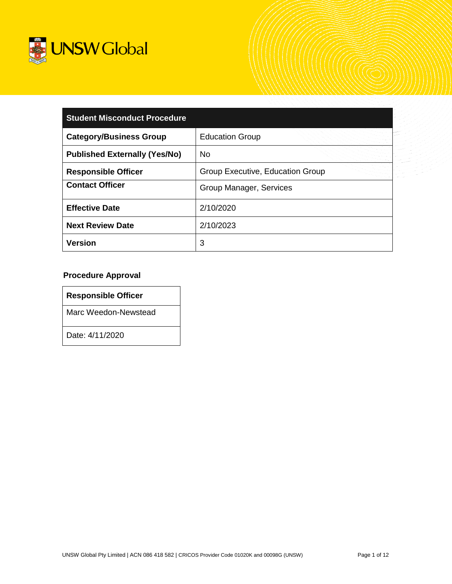

| <b>Student Misconduct Procedure</b>  |                                  |  |  |
|--------------------------------------|----------------------------------|--|--|
| <b>Category/Business Group</b>       | <b>Education Group</b>           |  |  |
| <b>Published Externally (Yes/No)</b> | <b>No</b>                        |  |  |
| <b>Responsible Officer</b>           | Group Executive, Education Group |  |  |
| <b>Contact Officer</b>               | Group Manager, Services          |  |  |
| <b>Effective Date</b>                | 2/10/2020                        |  |  |
| <b>Next Review Date</b>              | 2/10/2023                        |  |  |
| <b>Version</b>                       | 3                                |  |  |

# **Procedure Approval**

| <b>Responsible Officer</b> |  |
|----------------------------|--|
|                            |  |

Marc Weedon-Newstead

Date: 4/11/2020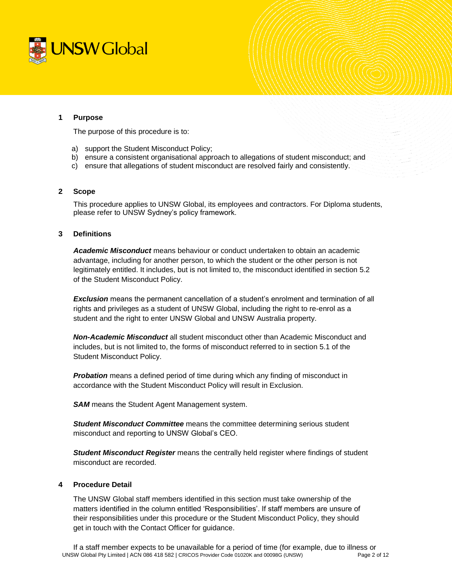

### **1 Purpose**

The purpose of this procedure is to:

- a) support the Student Misconduct Policy;
- b) ensure a consistent organisational approach to allegations of student misconduct; and
- c) ensure that allegations of student misconduct are resolved fairly and consistently.

### **2 Scope**

This procedure applies to UNSW Global, its employees and contractors. For Diploma students, please refer to UNSW Sydney's policy framework.

### **3 Definitions**

*Academic Misconduct* means behaviour or conduct undertaken to obtain an academic advantage, including for another person, to which the student or the other person is not legitimately entitled. It includes, but is not limited to, the misconduct identified in section 5.2 of the Student Misconduct Policy.

**Exclusion** means the permanent cancellation of a student's enrolment and termination of all rights and privileges as a student of UNSW Global, including the right to re-enrol as a student and the right to enter UNSW Global and UNSW Australia property.

*Non-Academic Misconduct* all student misconduct other than Academic Misconduct and includes, but is not limited to, the forms of misconduct referred to in section 5.1 of the Student Misconduct Policy.

*Probation* means a defined period of time during which any finding of misconduct in accordance with the Student Misconduct Policy will result in Exclusion.

**SAM** means the Student Agent Management system.

*Student Misconduct Committee* means the committee determining serious student misconduct and reporting to UNSW Global's CEO.

*Student Misconduct Register* means the centrally held register where findings of student misconduct are recorded.

### **4 Procedure Detail**

The UNSW Global staff members identified in this section must take ownership of the matters identified in the column entitled 'Responsibilities'. If staff members are unsure of their responsibilities under this procedure or the Student Misconduct Policy, they should get in touch with the Contact Officer for guidance.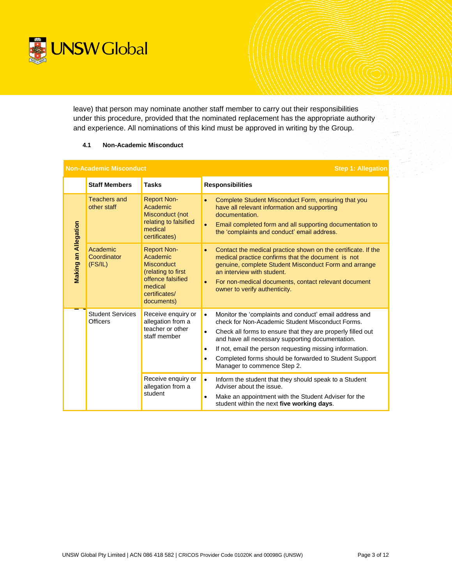

leave) that person may nominate another staff member to carry out their responsibilities under this procedure, provided that the nominated replacement has the appropriate authority and experience. All nominations of this kind must be approved in writing by the Group.

### **4.1 Non-Academic Misconduct**

| <b>Non-Academic Misconduct</b> |                                            |                                                                                                                                          | <b>Step 1: Allegation</b>                                                                                                                                                                                                                                                                                                                                                                                                 |
|--------------------------------|--------------------------------------------|------------------------------------------------------------------------------------------------------------------------------------------|---------------------------------------------------------------------------------------------------------------------------------------------------------------------------------------------------------------------------------------------------------------------------------------------------------------------------------------------------------------------------------------------------------------------------|
|                                | <b>Staff Members</b>                       | <b>Tasks</b>                                                                                                                             | <b>Responsibilities</b>                                                                                                                                                                                                                                                                                                                                                                                                   |
| Making an Allegation           | Teachers and<br>other staff                | <b>Report Non-</b><br>Academic<br>Misconduct (not<br>relating to falsified<br>medical<br>certificates)                                   | Complete Student Misconduct Form, ensuring that you<br>$\bullet$<br>have all relevant information and supporting<br>documentation.<br>Email completed form and all supporting documentation to<br>$\bullet$<br>the 'complaints and conduct' email address.                                                                                                                                                                |
|                                | Academic<br>Coordinator<br>(FS/IL)         | <b>Report Non-</b><br>Academic<br><b>Misconduct</b><br>(relating to first<br>offence falsified<br>medical<br>certificates/<br>documents) | Contact the medical practice shown on the certificate. If the<br>$\bullet$<br>medical practice confirms that the document is not<br>genuine, complete Student Misconduct Form and arrange<br>an interview with student.<br>For non-medical documents, contact relevant document<br>$\bullet$<br>owner to verify authenticity.                                                                                             |
|                                | <b>Student Services</b><br><b>Officers</b> | Receive enquiry or<br>allegation from a<br>teacher or other<br>staff member                                                              | Monitor the 'complaints and conduct' email address and<br>$\bullet$<br>check for Non-Academic Student Misconduct Forms.<br>Check all forms to ensure that they are properly filled out<br>$\bullet$<br>and have all necessary supporting documentation.<br>If not, email the person requesting missing information.<br>$\bullet$<br>Completed forms should be forwarded to Student Support<br>Manager to commence Step 2. |
|                                |                                            | Receive enquiry or<br>allegation from a<br>student                                                                                       | Inform the student that they should speak to a Student<br>$\bullet$<br>Adviser about the issue.<br>Make an appointment with the Student Adviser for the<br>$\bullet$<br>student within the next five working days.                                                                                                                                                                                                        |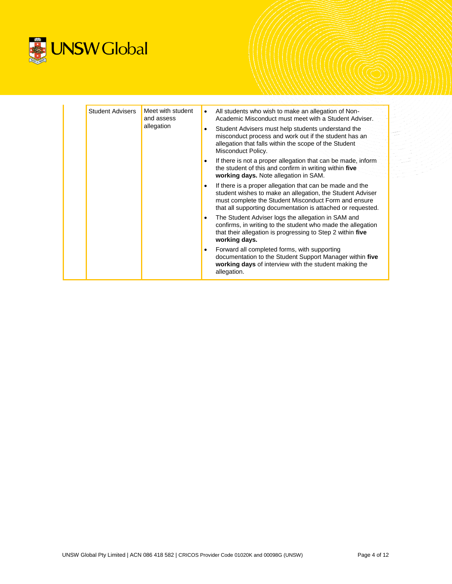

| <b>Student Advisers</b><br>allegation | Meet with student<br>and assess          | $\bullet$                                                                                                                                                                                        | All students who wish to make an allegation of Non-<br>Academic Misconduct must meet with a Student Adviser.                                                                                                                                 |
|---------------------------------------|------------------------------------------|--------------------------------------------------------------------------------------------------------------------------------------------------------------------------------------------------|----------------------------------------------------------------------------------------------------------------------------------------------------------------------------------------------------------------------------------------------|
|                                       | $\bullet$<br>$\bullet$<br>٠<br>$\bullet$ |                                                                                                                                                                                                  | Student Advisers must help students understand the<br>misconduct process and work out if the student has an<br>allegation that falls within the scope of the Student<br>Misconduct Policy.                                                   |
|                                       |                                          |                                                                                                                                                                                                  | If there is not a proper allegation that can be made, inform<br>the student of this and confirm in writing within five<br>working days. Note allegation in SAM.                                                                              |
|                                       |                                          |                                                                                                                                                                                                  | If there is a proper allegation that can be made and the<br>student wishes to make an allegation, the Student Adviser<br>must complete the Student Misconduct Form and ensure<br>that all supporting documentation is attached or requested. |
|                                       |                                          | The Student Adviser logs the allegation in SAM and<br>confirms, in writing to the student who made the allegation<br>that their allegation is progressing to Step 2 within five<br>working days. |                                                                                                                                                                                                                                              |
|                                       |                                          |                                                                                                                                                                                                  | Forward all completed forms, with supporting<br>documentation to the Student Support Manager within five<br>working days of interview with the student making the<br>allegation.                                                             |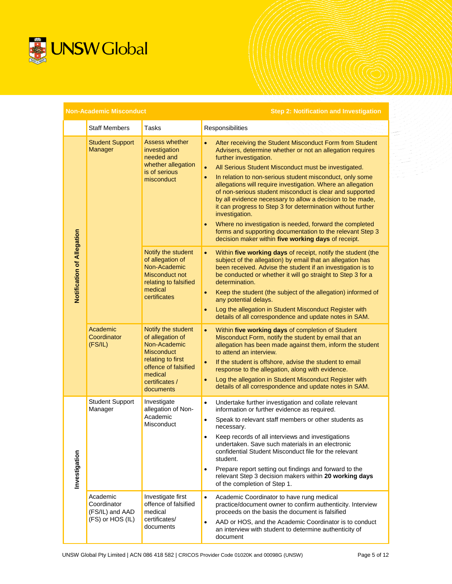

| <b>Non-Academic Misconduct</b> |                                                                |                                                                                                                                                                    | <b>Step 2: Notification and Investigation</b>                                                                                                                                                                                                                                                                                                                                                                                                                                                                                                                                                                                                                                                                                            |
|--------------------------------|----------------------------------------------------------------|--------------------------------------------------------------------------------------------------------------------------------------------------------------------|------------------------------------------------------------------------------------------------------------------------------------------------------------------------------------------------------------------------------------------------------------------------------------------------------------------------------------------------------------------------------------------------------------------------------------------------------------------------------------------------------------------------------------------------------------------------------------------------------------------------------------------------------------------------------------------------------------------------------------------|
|                                | <b>Staff Members</b>                                           | Tasks                                                                                                                                                              | Responsibilities                                                                                                                                                                                                                                                                                                                                                                                                                                                                                                                                                                                                                                                                                                                         |
| Notification of Allegation     | <b>Student Support</b><br>Manager                              | <b>Assess whether</b><br>investigation<br>needed and<br>whether allegation<br>is of serious<br>misconduct                                                          | After receiving the Student Misconduct Form from Student<br>$\bullet$<br>Advisers, determine whether or not an allegation requires<br>further investigation.<br>All Serious Student Misconduct must be investigated.<br>In relation to non-serious student misconduct, only some<br>allegations will require investigation. Where an allegation<br>of non-serious student misconduct is clear and supported<br>by all evidence necessary to allow a decision to be made,<br>it can progress to Step 3 for determination without further<br>investigation.<br>Where no investigation is needed, forward the completed<br>forms and supporting documentation to the relevant Step 3<br>decision maker within five working days of receipt. |
|                                |                                                                | Notify the student<br>of allegation of<br>Non-Academic<br><b>Misconduct not</b><br>relating to falsified<br>medical<br>certificates                                | Within five working days of receipt, notify the student (the<br>$\bullet$<br>subject of the allegation) by email that an allegation has<br>been received. Advise the student if an investigation is to<br>be conducted or whether it will go straight to Step 3 for a<br>determination.<br>Keep the student (the subject of the allegation) informed of<br>$\bullet$<br>any potential delays.<br>Log the allegation in Student Misconduct Register with<br>۰<br>details of all correspondence and update notes in SAM.                                                                                                                                                                                                                   |
|                                | Academic<br>Coordinator<br>(FS/IL)                             | Notify the student<br>of allegation of<br>Non-Academic<br><b>Misconduct</b><br>relating to first<br>offence of falsified<br>medical<br>certificates /<br>documents | Within five working days of completion of Student<br>$\bullet$<br>Misconduct Form, notify the student by email that an<br>allegation has been made against them, inform the student<br>to attend an interview.<br>If the student is offshore, advise the student to email<br>$\bullet$<br>response to the allegation, along with evidence.<br>Log the allegation in Student Misconduct Register with<br>$\bullet$<br>details of all correspondence and update notes in SAM.                                                                                                                                                                                                                                                              |
| Investigation                  | <b>Student Support</b><br>Manager                              | Investigate<br>allegation of Non-<br>Academic<br>Misconduct                                                                                                        | Undertake further investigation and collate relevant<br>$\bullet$<br>information or further evidence as required.<br>Speak to relevant staff members or other students as<br>$\bullet$<br>necessary.<br>Keep records of all interviews and investigations<br>undertaken. Save such materials in an electronic<br>confidential Student Misconduct file for the relevant<br>student.<br>Prepare report setting out findings and forward to the<br>$\bullet$<br>relevant Step 3 decision makers within 20 working days<br>of the completion of Step 1.                                                                                                                                                                                      |
|                                | Academic<br>Coordinator<br>(FS/IL) and AAD<br>(FS) or HOS (IL) | Investigate first<br>offence of falsified<br>medical<br>certificates/<br>documents                                                                                 | $\bullet$<br>Academic Coordinator to have rung medical<br>practice/document owner to confirm authenticity. Interview<br>proceeds on the basis the document is falsified<br>AAD or HOS, and the Academic Coordinator is to conduct<br>$\bullet$<br>an interview with student to determine authenticity of<br>document                                                                                                                                                                                                                                                                                                                                                                                                                     |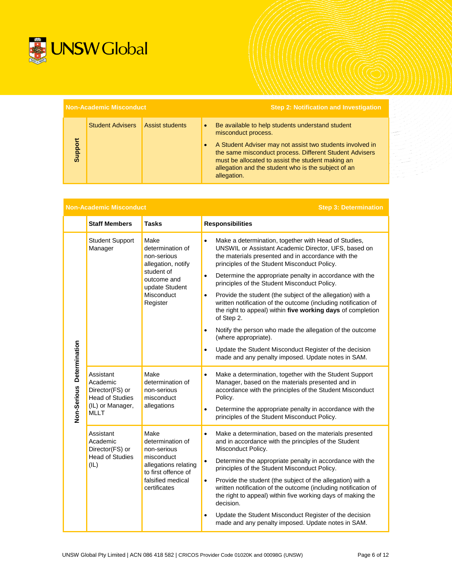

| <b>Non-Academic Misconduct</b> |                         |                        |           | <b>Step 2: Notification and Investigation</b>                                                                                                                                                                                                                                                                              |
|--------------------------------|-------------------------|------------------------|-----------|----------------------------------------------------------------------------------------------------------------------------------------------------------------------------------------------------------------------------------------------------------------------------------------------------------------------------|
| Support                        | <b>Student Advisers</b> | <b>Assist students</b> | $\bullet$ | Be available to help students understand student<br>misconduct process.<br>A Student Adviser may not assist two students involved in<br>the same misconduct process. Different Student Advisers<br>must be allocated to assist the student making an<br>allegation and the student who is the subject of an<br>allegation. |

| <b>Non-Academic Misconduct</b> |                                                                                                       |                                                                                                                                           | <b>Step 3: Determination</b>                                                                                                                                                                                                                                                                                                                                                                                                                                                                                                                                                                                                                                                                                                                                                                                     |
|--------------------------------|-------------------------------------------------------------------------------------------------------|-------------------------------------------------------------------------------------------------------------------------------------------|------------------------------------------------------------------------------------------------------------------------------------------------------------------------------------------------------------------------------------------------------------------------------------------------------------------------------------------------------------------------------------------------------------------------------------------------------------------------------------------------------------------------------------------------------------------------------------------------------------------------------------------------------------------------------------------------------------------------------------------------------------------------------------------------------------------|
|                                | <b>Staff Members</b>                                                                                  | <b>Tasks</b>                                                                                                                              | <b>Responsibilities</b>                                                                                                                                                                                                                                                                                                                                                                                                                                                                                                                                                                                                                                                                                                                                                                                          |
| Non-Serious Determination      | <b>Student Support</b><br>Manager                                                                     | Make<br>determination of<br>non-serious<br>allegation, notify<br>student of<br>outcome and<br>update Student<br>Misconduct<br>Register    | Make a determination, together with Head of Studies,<br>$\bullet$<br>UNSWIL or Assistant Academic Director, UFS, based on<br>the materials presented and in accordance with the<br>principles of the Student Misconduct Policy.<br>Determine the appropriate penalty in accordance with the<br>$\bullet$<br>principles of the Student Misconduct Policy.<br>Provide the student (the subject of the allegation) with a<br>$\bullet$<br>written notification of the outcome (including notification of<br>the right to appeal) within five working days of completion<br>of Step 2.<br>Notify the person who made the allegation of the outcome<br>$\bullet$<br>(where appropriate).<br>Update the Student Misconduct Register of the decision<br>$\bullet$<br>made and any penalty imposed. Update notes in SAM. |
|                                | Assistant<br>Academic<br>Director(FS) or<br><b>Head of Studies</b><br>(IL) or Manager,<br><b>MLLT</b> | Make<br>determination of<br>non-serious<br>misconduct<br>allegations                                                                      | Make a determination, together with the Student Support<br>$\bullet$<br>Manager, based on the materials presented and in<br>accordance with the principles of the Student Misconduct<br>Policy.<br>Determine the appropriate penalty in accordance with the<br>$\bullet$<br>principles of the Student Misconduct Policy.                                                                                                                                                                                                                                                                                                                                                                                                                                                                                         |
|                                | Assistant<br>Academic<br>Director(FS) or<br><b>Head of Studies</b><br>(IL)                            | Make<br>determination of<br>non-serious<br>misconduct<br>allegations relating<br>to first offence of<br>falsified medical<br>certificates | Make a determination, based on the materials presented<br>$\bullet$<br>and in accordance with the principles of the Student<br>Misconduct Policy.<br>Determine the appropriate penalty in accordance with the<br>$\bullet$<br>principles of the Student Misconduct Policy.<br>Provide the student (the subject of the allegation) with a<br>$\bullet$<br>written notification of the outcome (including notification of<br>the right to appeal) within five working days of making the<br>decision.<br>Update the Student Misconduct Register of the decision<br>$\bullet$<br>made and any penalty imposed. Update notes in SAM.                                                                                                                                                                                 |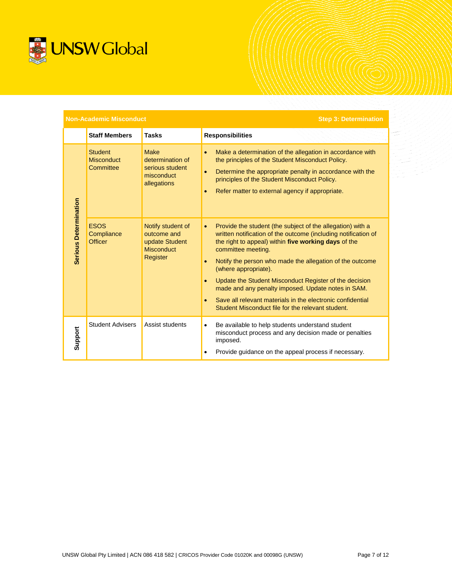

|                              | <b>Non-Academic Misconduct</b>                   |                                                                                     | <b>Step 3: Determination</b>                                                                                                                                                                                                                                                                                                                                                                                                                                                                                                                   |
|------------------------------|--------------------------------------------------|-------------------------------------------------------------------------------------|------------------------------------------------------------------------------------------------------------------------------------------------------------------------------------------------------------------------------------------------------------------------------------------------------------------------------------------------------------------------------------------------------------------------------------------------------------------------------------------------------------------------------------------------|
|                              | <b>Staff Members</b>                             | <b>Tasks</b>                                                                        | <b>Responsibilities</b>                                                                                                                                                                                                                                                                                                                                                                                                                                                                                                                        |
|                              | <b>Student</b><br><b>Misconduct</b><br>Committee | <b>Make</b><br>determination of<br>serious student<br>misconduct<br>allegations     | Make a determination of the allegation in accordance with<br>the principles of the Student Misconduct Policy.<br>Determine the appropriate penalty in accordance with the<br>principles of the Student Misconduct Policy.<br>Refer matter to external agency if appropriate.                                                                                                                                                                                                                                                                   |
| <b>Serious Determination</b> | <b>ESOS</b><br>Compliance<br><b>Officer</b>      | Notify student of<br>outcome and<br>update Student<br><b>Misconduct</b><br>Register | Provide the student (the subject of the allegation) with a<br>$\bullet$<br>written notification of the outcome (including notification of<br>the right to appeal) within five working days of the<br>committee meeting.<br>Notify the person who made the allegation of the outcome<br>(where appropriate).<br>Update the Student Misconduct Register of the decision<br>made and any penalty imposed. Update notes in SAM.<br>Save all relevant materials in the electronic confidential<br>Student Misconduct file for the relevant student. |
| Support                      | <b>Student Advisers</b>                          | Assist students                                                                     | Be available to help students understand student<br>$\bullet$<br>misconduct process and any decision made or penalties<br>imposed.<br>Provide guidance on the appeal process if necessary.                                                                                                                                                                                                                                                                                                                                                     |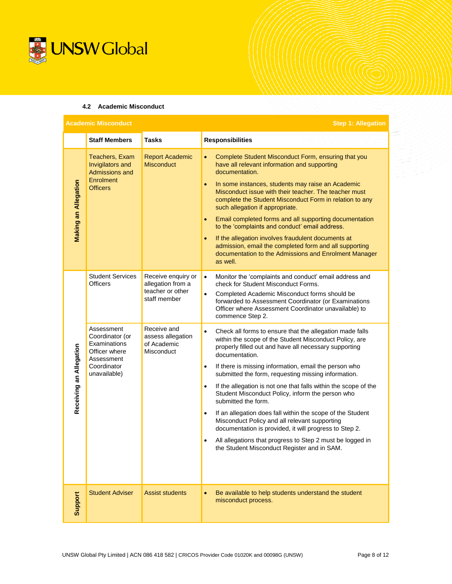

### **4.2 Academic Misconduct**

| <b>Step 1: Allegation</b><br><b>Academic Misconduct</b> |                                                                                                             |                                                                             |                                                                                                                                                                                                                                                                                                                                                                                                                                                                                                                                                                                                                                                                                        |
|---------------------------------------------------------|-------------------------------------------------------------------------------------------------------------|-----------------------------------------------------------------------------|----------------------------------------------------------------------------------------------------------------------------------------------------------------------------------------------------------------------------------------------------------------------------------------------------------------------------------------------------------------------------------------------------------------------------------------------------------------------------------------------------------------------------------------------------------------------------------------------------------------------------------------------------------------------------------------|
|                                                         | <b>Staff Members</b>                                                                                        | <b>Tasks</b>                                                                | <b>Responsibilities</b>                                                                                                                                                                                                                                                                                                                                                                                                                                                                                                                                                                                                                                                                |
| <b>Making an Allegation</b>                             | Teachers, Exam<br>Invigilators and<br><b>Admissions and</b><br>Enrolment<br><b>Officers</b>                 | <b>Report Academic</b><br><b>Misconduct</b>                                 | Complete Student Misconduct Form, ensuring that you<br>$\bullet$<br>have all relevant information and supporting<br>documentation.<br>In some instances, students may raise an Academic<br>$\bullet$<br>Misconduct issue with their teacher. The teacher must<br>complete the Student Misconduct Form in relation to any<br>such allegation if appropriate.<br>Email completed forms and all supporting documentation<br>$\bullet$<br>to the 'complaints and conduct' email address.<br>If the allegation involves fraudulent documents at<br>$\bullet$<br>admission, email the completed form and all supporting<br>documentation to the Admissions and Enrolment Manager<br>as well. |
|                                                         | <b>Student Services</b><br><b>Officers</b>                                                                  | Receive enquiry or<br>allegation from a<br>teacher or other<br>staff member | $\bullet$<br>Monitor the 'complaints and conduct' email address and<br>check for Student Misconduct Forms.<br>Completed Academic Misconduct forms should be<br>$\bullet$<br>forwarded to Assessment Coordinator (or Examinations<br>Officer where Assessment Coordinator unavailable) to<br>commence Step 2.                                                                                                                                                                                                                                                                                                                                                                           |
|                                                         | Assessment<br>Coordinator (or<br>Examinations<br>Officer where<br>Assessment<br>Coordinator<br>unavailable) | Receive and<br>assess allegation<br>of Academic<br>Misconduct               | Check all forms to ensure that the allegation made falls<br>$\bullet$<br>within the scope of the Student Misconduct Policy, are<br>properly filled out and have all necessary supporting<br>documentation.<br>If there is missing information, email the person who<br>$\bullet$                                                                                                                                                                                                                                                                                                                                                                                                       |
| Receiving an Allegation                                 |                                                                                                             |                                                                             | submitted the form, requesting missing information.<br>$\bullet$<br>If the allegation is not one that falls within the scope of the<br>Student Misconduct Policy, inform the person who<br>submitted the form.                                                                                                                                                                                                                                                                                                                                                                                                                                                                         |
|                                                         |                                                                                                             |                                                                             | If an allegation does fall within the scope of the Student<br>$\bullet$<br>Misconduct Policy and all relevant supporting<br>documentation is provided, it will progress to Step 2.                                                                                                                                                                                                                                                                                                                                                                                                                                                                                                     |
|                                                         |                                                                                                             |                                                                             | All allegations that progress to Step 2 must be logged in<br>$\bullet$<br>the Student Misconduct Register and in SAM.                                                                                                                                                                                                                                                                                                                                                                                                                                                                                                                                                                  |
| Support                                                 | <b>Student Adviser</b>                                                                                      | <b>Assist students</b>                                                      | Be available to help students understand the student<br>$\bullet$<br>misconduct process.                                                                                                                                                                                                                                                                                                                                                                                                                                                                                                                                                                                               |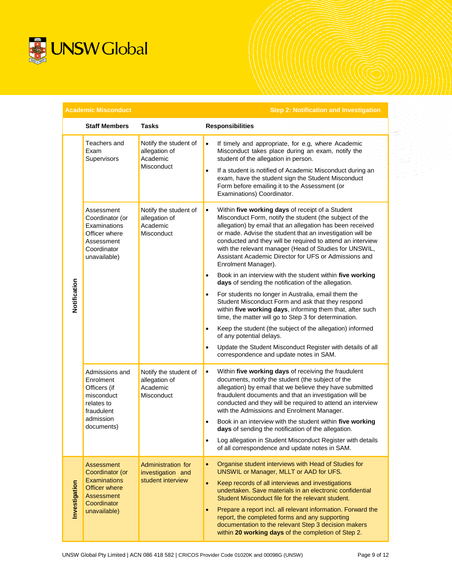

|               | <b>Academic Misconduct</b>                                                                                         |                                                                  | <b>Step 2: Notification and Investigation</b>                                                                                                                                                                                                                                                                                                                                                                                                                             |
|---------------|--------------------------------------------------------------------------------------------------------------------|------------------------------------------------------------------|---------------------------------------------------------------------------------------------------------------------------------------------------------------------------------------------------------------------------------------------------------------------------------------------------------------------------------------------------------------------------------------------------------------------------------------------------------------------------|
|               | <b>Staff Members</b>                                                                                               | <b>Tasks</b>                                                     | <b>Responsibilities</b>                                                                                                                                                                                                                                                                                                                                                                                                                                                   |
|               | Teachers and<br>Exam<br>Supervisors                                                                                | Notify the student of<br>allegation of<br>Academic<br>Misconduct | If timely and appropriate, for e.g, where Academic<br>$\bullet$<br>Misconduct takes place during an exam, notify the<br>student of the allegation in person.<br>If a student is notified of Academic Misconduct during an<br>$\bullet$<br>exam, have the student sign the Student Misconduct<br>Form before emailing it to the Assessment (or<br>Examinations) Coordinator.                                                                                               |
|               | Assessment<br>Coordinator (or<br>Examinations<br>Officer where<br>Assessment<br>Coordinator<br>unavailable)        | Notify the student of<br>allegation of<br>Academic<br>Misconduct | Within five working days of receipt of a Student<br>$\bullet$<br>Misconduct Form, notify the student (the subject of the<br>allegation) by email that an allegation has been received<br>or made. Advise the student that an investigation will be<br>conducted and they will be required to attend an interview<br>with the relevant manager (Head of Studies for UNSWIL,<br>Assistant Academic Director for UFS or Admissions and<br>Enrolment Manager).                |
|               |                                                                                                                    |                                                                  | Book in an interview with the student within five working<br>$\bullet$<br>days of sending the notification of the allegation.                                                                                                                                                                                                                                                                                                                                             |
| Notification  |                                                                                                                    |                                                                  | For students no longer in Australia, email them the<br>$\bullet$<br>Student Misconduct Form and ask that they respond<br>within five working days, informing them that, after such<br>time, the matter will go to Step 3 for determination.                                                                                                                                                                                                                               |
|               |                                                                                                                    |                                                                  | Keep the student (the subject of the allegation) informed<br>$\bullet$<br>of any potential delays.                                                                                                                                                                                                                                                                                                                                                                        |
|               |                                                                                                                    |                                                                  | Update the Student Misconduct Register with details of all<br>$\bullet$<br>correspondence and update notes in SAM.                                                                                                                                                                                                                                                                                                                                                        |
|               | Admissions and<br>Enrolment<br>Officers (if<br>misconduct<br>relates to<br>fraudulent                              | Notify the student of<br>allegation of<br>Academic<br>Misconduct | Within five working days of receiving the fraudulent<br>$\bullet$<br>documents, notify the student (the subject of the<br>allegation) by email that we believe they have submitted<br>fraudulent documents and that an investigation will be<br>conducted and they will be required to attend an interview<br>with the Admissions and Enrolment Manager.                                                                                                                  |
|               | admission<br>documents)                                                                                            |                                                                  | Book in an interview with the student within five working<br>$\bullet$<br>days of sending the notification of the allegation.                                                                                                                                                                                                                                                                                                                                             |
|               |                                                                                                                    |                                                                  | Log allegation in Student Misconduct Register with details<br>$\bullet$<br>of all correspondence and update notes in SAM.                                                                                                                                                                                                                                                                                                                                                 |
| Investigation | Assessment<br>Coordinator (or<br><b>Examinations</b><br>Officer where<br>Assessment<br>Coordinator<br>unavailable) | Administration for<br>investigation and<br>student interview     | Organise student interviews with Head of Studies for<br>$\bullet$<br>UNSWIL or Manager, MLLT or AAD for UFS.<br>$\bullet$<br>Keep records of all interviews and investigations<br>undertaken. Save materials in an electronic confidential<br>Student Misconduct file for the relevant student.<br>Prepare a report incl. all relevant information. Forward the<br>report, the completed forms and any supporting<br>documentation to the relevant Step 3 decision makers |
|               |                                                                                                                    |                                                                  | within 20 working days of the completion of Step 2.                                                                                                                                                                                                                                                                                                                                                                                                                       |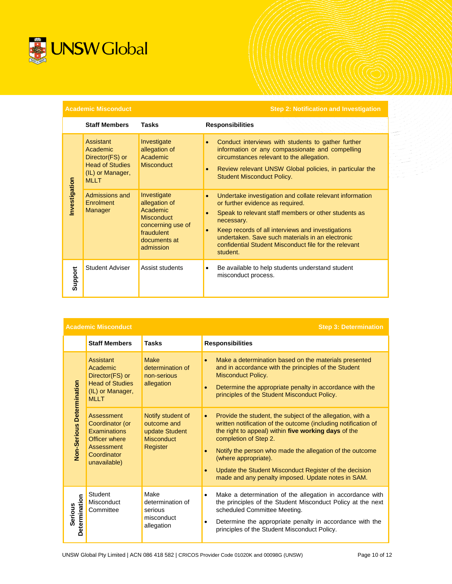

**Academic Misconduct Step 2: Notification and Investigation**

|               | <b>Staff Members</b>                                                                                  | <b>Tasks</b>                                                                                                                  | <b>Responsibilities</b>                                                                                                                                                                                                                                                                                                                          |
|---------------|-------------------------------------------------------------------------------------------------------|-------------------------------------------------------------------------------------------------------------------------------|--------------------------------------------------------------------------------------------------------------------------------------------------------------------------------------------------------------------------------------------------------------------------------------------------------------------------------------------------|
| Investigation | Assistant<br>Academic<br>Director(FS) or<br><b>Head of Studies</b><br>(IL) or Manager,<br><b>MLLT</b> | Investigate<br>allegation of<br>Academic<br><b>Misconduct</b>                                                                 | Conduct interviews with students to gather further<br>information or any compassionate and compelling<br>circumstances relevant to the allegation.<br>Review relevant UNSW Global policies, in particular the<br><b>Student Misconduct Policy.</b>                                                                                               |
|               | Admissions and<br>Enrolment<br>Manager                                                                | Investigate<br>allegation of<br>Academic<br><b>Misconduct</b><br>concerning use of<br>fraudulent<br>documents at<br>admission | Undertake investigation and collate relevant information<br>or further evidence as required.<br>Speak to relevant staff members or other students as<br>necessary.<br>Keep records of all interviews and investigations<br>undertaken. Save such materials in an electronic<br>confidential Student Misconduct file for the relevant<br>student. |
| Support       | Student Adviser                                                                                       | Assist students                                                                                                               | Be available to help students understand student<br>٠<br>misconduct process.                                                                                                                                                                                                                                                                     |

|                                 | <b>Academic Misconduct</b>                                                                                         |                                                                                     | <b>Step 3: Determination</b>                                                                                                                                                                                                                                                                                                                                                                                                   |
|---------------------------------|--------------------------------------------------------------------------------------------------------------------|-------------------------------------------------------------------------------------|--------------------------------------------------------------------------------------------------------------------------------------------------------------------------------------------------------------------------------------------------------------------------------------------------------------------------------------------------------------------------------------------------------------------------------|
|                                 | <b>Staff Members</b>                                                                                               | <b>Tasks</b>                                                                        | <b>Responsibilities</b>                                                                                                                                                                                                                                                                                                                                                                                                        |
|                                 | Assistant<br>Academic<br>Director(FS) or<br><b>Head of Studies</b><br>(IL) or Manager,<br><b>MLLT</b>              | Make<br>determination of<br>non-serious<br>allegation                               | Make a determination based on the materials presented<br>$\bullet$<br>and in accordance with the principles of the Student<br><b>Misconduct Policy.</b><br>Determine the appropriate penalty in accordance with the<br>$\bullet$<br>principles of the Student Misconduct Policy.                                                                                                                                               |
| Non-Serious Determination       | Assessment<br>Coordinator (or<br><b>Examinations</b><br>Officer where<br>Assessment<br>Coordinator<br>unavailable) | Notify student of<br>outcome and<br>update Student<br><b>Misconduct</b><br>Register | Provide the student, the subject of the allegation, with a<br>$\bullet$<br>written notification of the outcome (including notification of<br>the right to appeal) within five working days of the<br>completion of Step 2.<br>Notify the person who made the allegation of the outcome<br>(where appropriate).<br>Update the Student Misconduct Register of the decision<br>made and any penalty imposed. Update notes in SAM. |
| Determination<br><b>Serious</b> | Student<br>Misconduct<br>Committee                                                                                 | Make<br>determination of<br>serious<br>misconduct<br>allegation                     | Make a determination of the allegation in accordance with<br>$\bullet$<br>the principles of the Student Misconduct Policy at the next<br>scheduled Committee Meeting.<br>Determine the appropriate penalty in accordance with the<br>$\bullet$<br>principles of the Student Misconduct Policy.                                                                                                                                 |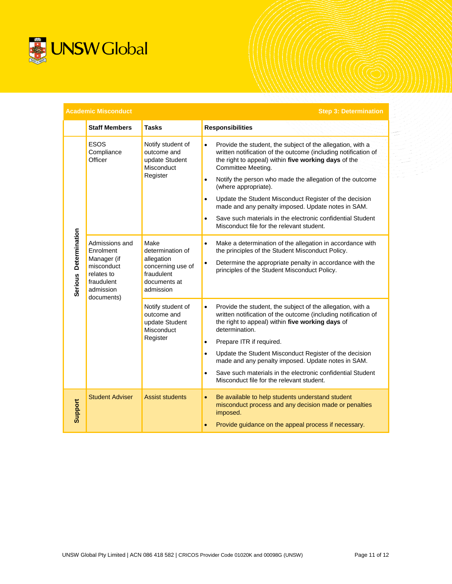

| <b>Academic Misconduct</b><br><b>Step 3: Determination</b> |                                                                                                                 |                                                                                                        |                                                                                                                                                                                                                                                                                                                                                                                                                                                                                                                                                                               |  |  |  |
|------------------------------------------------------------|-----------------------------------------------------------------------------------------------------------------|--------------------------------------------------------------------------------------------------------|-------------------------------------------------------------------------------------------------------------------------------------------------------------------------------------------------------------------------------------------------------------------------------------------------------------------------------------------------------------------------------------------------------------------------------------------------------------------------------------------------------------------------------------------------------------------------------|--|--|--|
|                                                            | <b>Staff Members</b>                                                                                            | <b>Tasks</b>                                                                                           | <b>Responsibilities</b>                                                                                                                                                                                                                                                                                                                                                                                                                                                                                                                                                       |  |  |  |
| Serious Determination                                      | <b>ESOS</b><br>Compliance<br>Officer                                                                            | Notify student of<br>outcome and<br>update Student<br>Misconduct<br>Register                           | Provide the student, the subject of the allegation, with a<br>$\bullet$<br>written notification of the outcome (including notification of<br>the right to appeal) within five working days of the<br>Committee Meeting.<br>Notify the person who made the allegation of the outcome<br>$\bullet$<br>(where appropriate).<br>Update the Student Misconduct Register of the decision<br>$\bullet$<br>made and any penalty imposed. Update notes in SAM.<br>Save such materials in the electronic confidential Student<br>$\bullet$<br>Misconduct file for the relevant student. |  |  |  |
|                                                            | Admissions and<br>Enrolment<br>Manager (if<br>misconduct<br>relates to<br>fraudulent<br>admission<br>documents) | Make<br>determination of<br>allegation<br>concerning use of<br>fraudulent<br>documents at<br>admission | Make a determination of the allegation in accordance with<br>$\bullet$<br>the principles of the Student Misconduct Policy.<br>Determine the appropriate penalty in accordance with the<br>$\bullet$<br>principles of the Student Misconduct Policy.                                                                                                                                                                                                                                                                                                                           |  |  |  |
|                                                            |                                                                                                                 | Notify student of<br>outcome and<br>update Student<br>Misconduct<br>Register                           | Provide the student, the subject of the allegation, with a<br>$\bullet$<br>written notification of the outcome (including notification of<br>the right to appeal) within five working days of<br>determination.<br>Prepare ITR if required.<br>$\bullet$<br>Update the Student Misconduct Register of the decision<br>made and any penalty imposed. Update notes in SAM.<br>Save such materials in the electronic confidential Student<br>$\bullet$<br>Misconduct file for the relevant student.                                                                              |  |  |  |
| Support                                                    | <b>Student Adviser</b>                                                                                          | <b>Assist students</b>                                                                                 | Be available to help students understand student<br>misconduct process and any decision made or penalties<br>imposed.<br>Provide guidance on the appeal process if necessary.                                                                                                                                                                                                                                                                                                                                                                                                 |  |  |  |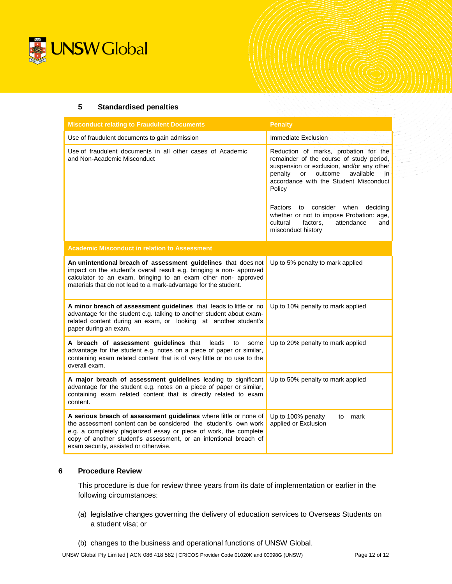

### **5 Standardised penalties**

| <b>Misconduct relating to Fraudulent Documents</b>                                                                                                                                                                                                                                                                       | <b>Penalty</b>                                                                                                                                                                                                                    |  |  |  |
|--------------------------------------------------------------------------------------------------------------------------------------------------------------------------------------------------------------------------------------------------------------------------------------------------------------------------|-----------------------------------------------------------------------------------------------------------------------------------------------------------------------------------------------------------------------------------|--|--|--|
| Use of fraudulent documents to gain admission                                                                                                                                                                                                                                                                            | <b>Immediate Exclusion</b>                                                                                                                                                                                                        |  |  |  |
| Use of fraudulent documents in all other cases of Academic<br>and Non-Academic Misconduct                                                                                                                                                                                                                                | Reduction of marks, probation for the<br>remainder of the course of study period,<br>suspension or exclusion, and/or any other<br>penalty<br>outcome<br>available<br>or<br>in<br>accordance with the Student Misconduct<br>Policy |  |  |  |
|                                                                                                                                                                                                                                                                                                                          | consider<br>when<br>Factors<br>deciding<br>to<br>whether or not to impose Probation: age,<br>cultural<br>factors,<br>attendance<br>and<br>misconduct history                                                                      |  |  |  |
| <b>Academic Misconduct in relation to Assessment</b>                                                                                                                                                                                                                                                                     |                                                                                                                                                                                                                                   |  |  |  |
| An unintentional breach of assessment guidelines that does not<br>impact on the student's overall result e.g. bringing a non- approved<br>calculator to an exam, bringing to an exam other non- approved<br>materials that do not lead to a mark-advantage for the student.                                              | Up to 5% penalty to mark applied                                                                                                                                                                                                  |  |  |  |
| A minor breach of assessment guidelines that leads to little or no<br>advantage for the student e.g. talking to another student about exam-<br>related content during an exam, or looking at another student's<br>paper during an exam.                                                                                  | Up to 10% penalty to mark applied                                                                                                                                                                                                 |  |  |  |
| A breach of assessment guidelines that<br>leads<br>to<br>some<br>advantage for the student e.g. notes on a piece of paper or similar,<br>containing exam related content that is of very little or no use to the<br>overall exam.                                                                                        | Up to 20% penalty to mark applied                                                                                                                                                                                                 |  |  |  |
| A major breach of assessment guidelines leading to significant<br>advantage for the student e.g. notes on a piece of paper or similar,<br>containing exam related content that is directly related to exam<br>content.                                                                                                   | Up to 50% penalty to mark applied                                                                                                                                                                                                 |  |  |  |
| A serious breach of assessment guidelines where little or none of<br>the assessment content can be considered the student's own work<br>e.g. a completely plagiarized essay or piece of work, the complete<br>copy of another student's assessment, or an intentional breach of<br>exam security, assisted or otherwise. | Up to 100% penalty<br>mark<br>to<br>applied or Exclusion                                                                                                                                                                          |  |  |  |

## **6 Procedure Review**

This procedure is due for review three years from its date of implementation or earlier in the following circumstances:

- (a) legislative changes governing the delivery of education services to Overseas Students on a student visa; or
- (b) changes to the business and operational functions of UNSW Global.